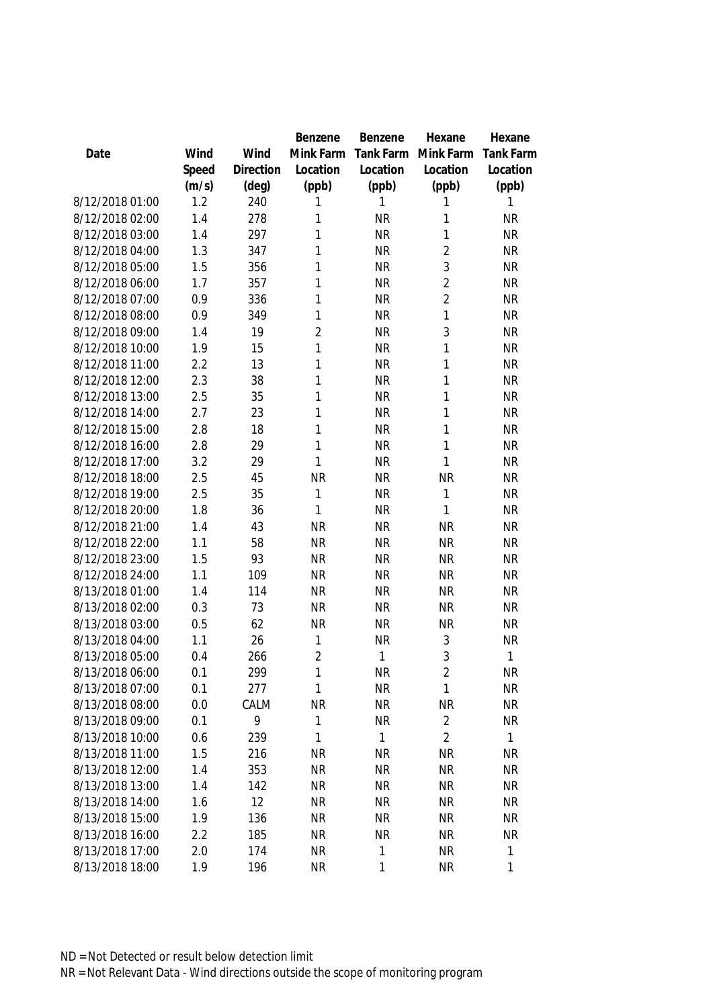|                 |       |           | <b>Benzene</b> | Benzene      | Hexane         | Hexane           |
|-----------------|-------|-----------|----------------|--------------|----------------|------------------|
| Date            | Wind  | Wind      | Mink Farm      | Tank Farm    | Mink Farm      | <b>Tank Farm</b> |
|                 | Speed | Direction | Location       | Location     | Location       | Location         |
|                 | (m/s) | (deg)     | (ppb)          | (ppb)        | (ppb)          | (ppb)            |
| 8/12/2018 01:00 | 1.2   | 240       | 1              | 1            | 1              | 1                |
| 8/12/2018 02:00 | 1.4   | 278       | 1              | <b>NR</b>    | 1              | <b>NR</b>        |
| 8/12/2018 03:00 | 1.4   | 297       | 1              | <b>NR</b>    | 1              | <b>NR</b>        |
| 8/12/2018 04:00 | 1.3   | 347       | 1              | <b>NR</b>    | $\sqrt{2}$     | <b>NR</b>        |
| 8/12/2018 05:00 | 1.5   | 356       | 1              | <b>NR</b>    | 3              | <b>NR</b>        |
| 8/12/2018 06:00 | 1.7   | 357       | 1              | <b>NR</b>    | $\overline{2}$ | <b>NR</b>        |
| 8/12/2018 07:00 | 0.9   | 336       | 1              | <b>NR</b>    | $\overline{2}$ | <b>NR</b>        |
| 8/12/2018 08:00 | 0.9   | 349       | 1              | <b>NR</b>    | $\mathbf{1}$   | <b>NR</b>        |
| 8/12/2018 09:00 | 1.4   | 19        | $\overline{2}$ | <b>NR</b>    | 3              | <b>NR</b>        |
| 8/12/2018 10:00 | 1.9   | 15        | 1              | <b>NR</b>    | 1              | <b>NR</b>        |
| 8/12/2018 11:00 | 2.2   | 13        | 1              | <b>NR</b>    | 1              | <b>NR</b>        |
| 8/12/2018 12:00 | 2.3   | 38        | 1              | <b>NR</b>    | 1              | <b>NR</b>        |
| 8/12/2018 13:00 | 2.5   | 35        | 1              | <b>NR</b>    | 1              | <b>NR</b>        |
| 8/12/2018 14:00 | 2.7   | 23        | 1              | <b>NR</b>    | 1              | <b>NR</b>        |
| 8/12/2018 15:00 | 2.8   | 18        | 1              | <b>NR</b>    | 1              | <b>NR</b>        |
| 8/12/2018 16:00 | 2.8   | 29        | 1              | <b>NR</b>    | 1              | <b>NR</b>        |
| 8/12/2018 17:00 | 3.2   | 29        | 1              | <b>NR</b>    | 1              | <b>NR</b>        |
| 8/12/2018 18:00 | 2.5   | 45        | <b>NR</b>      | <b>NR</b>    | <b>NR</b>      | <b>NR</b>        |
| 8/12/2018 19:00 | 2.5   | 35        | 1              | <b>NR</b>    | $\mathbf{1}$   | <b>NR</b>        |
| 8/12/2018 20:00 | 1.8   | 36        | 1              | <b>NR</b>    | 1              | <b>NR</b>        |
| 8/12/2018 21:00 | 1.4   | 43        | <b>NR</b>      | <b>NR</b>    | <b>NR</b>      | <b>NR</b>        |
| 8/12/2018 22:00 | 1.1   | 58        | <b>NR</b>      | <b>NR</b>    | <b>NR</b>      | <b>NR</b>        |
| 8/12/2018 23:00 | 1.5   | 93        | <b>NR</b>      | <b>NR</b>    | <b>NR</b>      | <b>NR</b>        |
| 8/12/2018 24:00 | 1.1   | 109       | <b>NR</b>      | <b>NR</b>    | <b>NR</b>      | <b>NR</b>        |
| 8/13/2018 01:00 | 1.4   | 114       | <b>NR</b>      | <b>NR</b>    | <b>NR</b>      | <b>NR</b>        |
| 8/13/2018 02:00 | 0.3   | 73        | <b>NR</b>      | <b>NR</b>    | <b>NR</b>      | <b>NR</b>        |
| 8/13/2018 03:00 | 0.5   | 62        | <b>NR</b>      | <b>NR</b>    | <b>NR</b>      | <b>NR</b>        |
| 8/13/2018 04:00 | 1.1   | 26        | 1              | <b>NR</b>    | $\sqrt{3}$     | <b>NR</b>        |
| 8/13/2018 05:00 | 0.4   | 266       | $\overline{2}$ | 1            | 3              | 1                |
| 8/13/2018 06:00 | 0.1   | 299       | 1              | <b>NR</b>    | $\overline{2}$ | <b>NR</b>        |
| 8/13/2018 07:00 | 0.1   | 277       | 1              | <b>NR</b>    | $\mathbf{1}$   | <b>NR</b>        |
| 8/13/2018 08:00 | 0.0   | CALM      | <b>NR</b>      | <b>NR</b>    | <b>NR</b>      | <b>NR</b>        |
| 8/13/2018 09:00 | 0.1   | 9         | 1              | <b>NR</b>    | $\overline{2}$ | <b>NR</b>        |
| 8/13/2018 10:00 | 0.6   | 239       | 1              | $\mathbf{1}$ | $\overline{2}$ | 1                |
| 8/13/2018 11:00 | 1.5   | 216       | <b>NR</b>      | <b>NR</b>    | <b>NR</b>      | <b>NR</b>        |
| 8/13/2018 12:00 | 1.4   | 353       | <b>NR</b>      | <b>NR</b>    | <b>NR</b>      | <b>NR</b>        |
| 8/13/2018 13:00 | 1.4   | 142       | <b>NR</b>      | <b>NR</b>    | <b>NR</b>      | <b>NR</b>        |
| 8/13/2018 14:00 | 1.6   | 12        | <b>NR</b>      | <b>NR</b>    | <b>NR</b>      | <b>NR</b>        |
| 8/13/2018 15:00 | 1.9   | 136       | <b>NR</b>      | <b>NR</b>    | <b>NR</b>      | <b>NR</b>        |
| 8/13/2018 16:00 | 2.2   | 185       | <b>NR</b>      | <b>NR</b>    | <b>NR</b>      | <b>NR</b>        |
| 8/13/2018 17:00 | 2.0   | 174       | <b>NR</b>      | 1            | <b>NR</b>      | 1                |
| 8/13/2018 18:00 | 1.9   | 196       | <b>NR</b>      | 1            | <b>NR</b>      | 1                |
|                 |       |           |                |              |                |                  |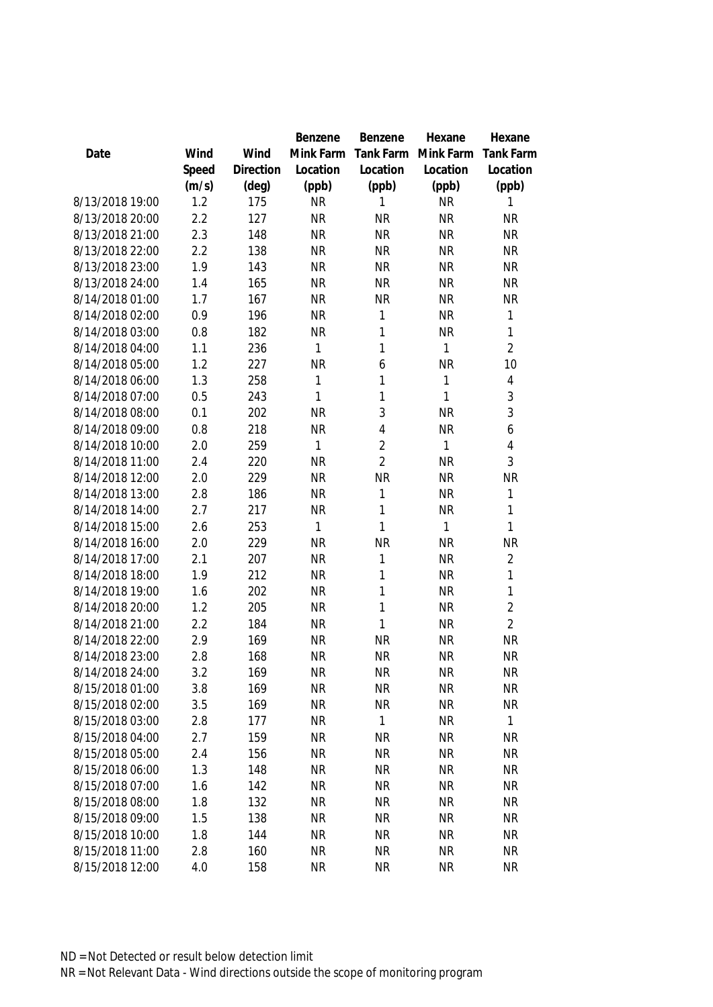|                 |       |           | Benzene   | Benzene        | Hexane    | Hexane           |
|-----------------|-------|-----------|-----------|----------------|-----------|------------------|
| Date            | Wind  | Wind      | Mink Farm | Tank Farm      | Mink Farm | <b>Tank Farm</b> |
|                 | Speed | Direction | Location  | Location       | Location  | Location         |
|                 | (m/s) | (deg)     | (ppb)     | (ppb)          | (ppb)     | (ppb)            |
| 8/13/2018 19:00 | 1.2   | 175       | <b>NR</b> | 1              | <b>NR</b> | 1                |
| 8/13/2018 20:00 | 2.2   | 127       | <b>NR</b> | <b>NR</b>      | <b>NR</b> | <b>NR</b>        |
| 8/13/2018 21:00 | 2.3   | 148       | <b>NR</b> | <b>NR</b>      | <b>NR</b> | <b>NR</b>        |
| 8/13/2018 22:00 | 2.2   | 138       | <b>NR</b> | <b>NR</b>      | <b>NR</b> | <b>NR</b>        |
| 8/13/2018 23:00 | 1.9   | 143       | <b>NR</b> | <b>NR</b>      | <b>NR</b> | <b>NR</b>        |
| 8/13/2018 24:00 | 1.4   | 165       | <b>NR</b> | <b>NR</b>      | <b>NR</b> | <b>NR</b>        |
| 8/14/2018 01:00 | 1.7   | 167       | <b>NR</b> | <b>NR</b>      | <b>NR</b> | <b>NR</b>        |
| 8/14/2018 02:00 | 0.9   | 196       | <b>NR</b> | $\mathbf{1}$   | <b>NR</b> | 1                |
| 8/14/2018 03:00 | 0.8   | 182       | <b>NR</b> | $\mathbf{1}$   | <b>NR</b> | $\mathbf{1}$     |
| 8/14/2018 04:00 | 1.1   | 236       | 1         | $\mathbf{1}$   | 1         | $\overline{2}$   |
| 8/14/2018 05:00 | 1.2   | 227       | <b>NR</b> | 6              | <b>NR</b> | 10               |
| 8/14/2018 06:00 | 1.3   | 258       | 1         | $\mathbf{1}$   | 1         | 4                |
| 8/14/2018 07:00 | 0.5   | 243       | 1         | 1              | 1         | 3                |
| 8/14/2018 08:00 | 0.1   | 202       | <b>NR</b> | 3              | <b>NR</b> | 3                |
| 8/14/2018 09:00 | 0.8   | 218       | <b>NR</b> | $\overline{4}$ | <b>NR</b> | 6                |
| 8/14/2018 10:00 | 2.0   | 259       | 1         | $\overline{2}$ | 1         | 4                |
| 8/14/2018 11:00 | 2.4   | 220       | <b>NR</b> | $\overline{2}$ | <b>NR</b> | 3                |
| 8/14/2018 12:00 | 2.0   | 229       | <b>NR</b> | <b>NR</b>      | <b>NR</b> | <b>NR</b>        |
| 8/14/2018 13:00 | 2.8   | 186       | <b>NR</b> | $\mathbf{1}$   | <b>NR</b> | 1                |
| 8/14/2018 14:00 | 2.7   | 217       | <b>NR</b> | $\mathbf{1}$   | <b>NR</b> | $\mathbf{1}$     |
| 8/14/2018 15:00 | 2.6   | 253       | 1         | $\mathbf{1}$   | 1         | 1                |
| 8/14/2018 16:00 | 2.0   | 229       | <b>NR</b> | <b>NR</b>      | <b>NR</b> | <b>NR</b>        |
| 8/14/2018 17:00 | 2.1   | 207       | <b>NR</b> | $\mathbf{1}$   | <b>NR</b> | $\overline{2}$   |
| 8/14/2018 18:00 | 1.9   | 212       | <b>NR</b> | $\mathbf{1}$   | <b>NR</b> | 1                |
| 8/14/2018 19:00 | 1.6   | 202       | <b>NR</b> | $\mathbf{1}$   | <b>NR</b> | 1                |
| 8/14/2018 20:00 | 1.2   | 205       | <b>NR</b> | $\mathbf{1}$   | <b>NR</b> | $\overline{2}$   |
| 8/14/2018 21:00 | 2.2   | 184       | <b>NR</b> | $\mathbf{1}$   | <b>NR</b> | $\overline{2}$   |
| 8/14/2018 22:00 | 2.9   | 169       | <b>NR</b> | <b>NR</b>      | <b>NR</b> | <b>NR</b>        |
| 8/14/2018 23:00 | 2.8   | 168       | <b>NR</b> | <b>NR</b>      | <b>NR</b> | <b>NR</b>        |
| 8/14/2018 24:00 | 3.2   | 169       | <b>NR</b> | <b>NR</b>      | <b>NR</b> | NR               |
| 8/15/2018 01:00 | 3.8   | 169       | <b>NR</b> | <b>NR</b>      | <b>NR</b> | <b>NR</b>        |
| 8/15/2018 02:00 | 3.5   | 169       | <b>NR</b> | <b>NR</b>      | <b>NR</b> | <b>NR</b>        |
| 8/15/2018 03:00 | 2.8   | 177       | <b>NR</b> | 1              | <b>NR</b> | $\mathbf{1}$     |
| 8/15/2018 04:00 | 2.7   | 159       | <b>NR</b> | <b>NR</b>      | <b>NR</b> | NR               |
| 8/15/2018 05:00 | 2.4   | 156       | <b>NR</b> | <b>NR</b>      | <b>NR</b> | <b>NR</b>        |
| 8/15/2018 06:00 | 1.3   | 148       | <b>NR</b> | <b>NR</b>      | <b>NR</b> | <b>NR</b>        |
| 8/15/2018 07:00 | 1.6   | 142       | <b>NR</b> | <b>NR</b>      | <b>NR</b> | <b>NR</b>        |
| 8/15/2018 08:00 | 1.8   | 132       | <b>NR</b> | <b>NR</b>      | <b>NR</b> | <b>NR</b>        |
| 8/15/2018 09:00 | 1.5   | 138       | <b>NR</b> | <b>NR</b>      | <b>NR</b> | <b>NR</b>        |
| 8/15/2018 10:00 | 1.8   | 144       | <b>NR</b> | <b>NR</b>      | <b>NR</b> | <b>NR</b>        |
| 8/15/2018 11:00 | 2.8   | 160       | <b>NR</b> | <b>NR</b>      | <b>NR</b> | <b>NR</b>        |
| 8/15/2018 12:00 | 4.0   | 158       | <b>NR</b> | <b>NR</b>      | <b>NR</b> | <b>NR</b>        |
|                 |       |           |           |                |           |                  |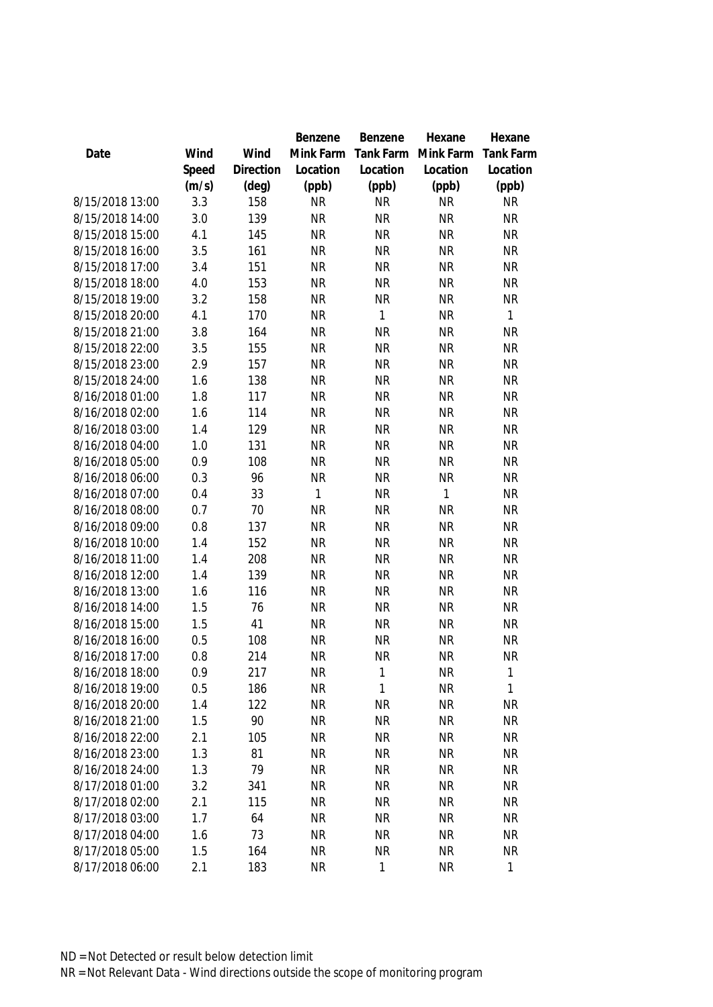|                 |       |                | Benzene      | Benzene      | Hexane       | Hexane           |
|-----------------|-------|----------------|--------------|--------------|--------------|------------------|
| Date            | Wind  | Wind           | Mink Farm    | Tank Farm    | Mink Farm    | <b>Tank Farm</b> |
|                 | Speed | Direction      | Location     | Location     | Location     | Location         |
|                 | (m/s) | $(\text{deg})$ | (ppb)        | (ppb)        | (ppb)        | (ppb)            |
| 8/15/2018 13:00 | 3.3   | 158            | <b>NR</b>    | <b>NR</b>    | <b>NR</b>    | <b>NR</b>        |
| 8/15/2018 14:00 | 3.0   | 139            | <b>NR</b>    | <b>NR</b>    | <b>NR</b>    | <b>NR</b>        |
| 8/15/2018 15:00 | 4.1   | 145            | <b>NR</b>    | <b>NR</b>    | <b>NR</b>    | <b>NR</b>        |
| 8/15/2018 16:00 | 3.5   | 161            | <b>NR</b>    | <b>NR</b>    | <b>NR</b>    | <b>NR</b>        |
| 8/15/2018 17:00 | 3.4   | 151            | <b>NR</b>    | <b>NR</b>    | <b>NR</b>    | <b>NR</b>        |
| 8/15/2018 18:00 | 4.0   | 153            | <b>NR</b>    | <b>NR</b>    | <b>NR</b>    | <b>NR</b>        |
| 8/15/2018 19:00 | 3.2   | 158            | <b>NR</b>    | <b>NR</b>    | <b>NR</b>    | <b>NR</b>        |
| 8/15/2018 20:00 | 4.1   | 170            | <b>NR</b>    | $\mathbf{1}$ | <b>NR</b>    | $\mathbf{1}$     |
| 8/15/2018 21:00 | 3.8   | 164            | <b>NR</b>    | <b>NR</b>    | <b>NR</b>    | <b>NR</b>        |
| 8/15/2018 22:00 | 3.5   | 155            | <b>NR</b>    | <b>NR</b>    | <b>NR</b>    | <b>NR</b>        |
| 8/15/2018 23:00 | 2.9   | 157            | <b>NR</b>    | <b>NR</b>    | <b>NR</b>    | <b>NR</b>        |
| 8/15/2018 24:00 | 1.6   | 138            | <b>NR</b>    | <b>NR</b>    | <b>NR</b>    | <b>NR</b>        |
| 8/16/2018 01:00 | 1.8   | 117            | <b>NR</b>    | <b>NR</b>    | <b>NR</b>    | <b>NR</b>        |
| 8/16/2018 02:00 | 1.6   | 114            | <b>NR</b>    | <b>NR</b>    | <b>NR</b>    | <b>NR</b>        |
| 8/16/2018 03:00 | 1.4   | 129            | <b>NR</b>    | <b>NR</b>    | <b>NR</b>    | <b>NR</b>        |
| 8/16/2018 04:00 | 1.0   | 131            | <b>NR</b>    | <b>NR</b>    | <b>NR</b>    | <b>NR</b>        |
| 8/16/2018 05:00 | 0.9   | 108            | <b>NR</b>    | <b>NR</b>    | <b>NR</b>    | <b>NR</b>        |
| 8/16/2018 06:00 | 0.3   | 96             | <b>NR</b>    | <b>NR</b>    | <b>NR</b>    | <b>NR</b>        |
| 8/16/2018 07:00 | 0.4   | 33             | $\mathbf{1}$ | <b>NR</b>    | $\mathbf{1}$ | <b>NR</b>        |
| 8/16/2018 08:00 | 0.7   | 70             | <b>NR</b>    | <b>NR</b>    | <b>NR</b>    | <b>NR</b>        |
| 8/16/2018 09:00 | 0.8   | 137            | <b>NR</b>    | <b>NR</b>    | <b>NR</b>    | <b>NR</b>        |
| 8/16/2018 10:00 | 1.4   | 152            | <b>NR</b>    | <b>NR</b>    | <b>NR</b>    | <b>NR</b>        |
| 8/16/2018 11:00 | 1.4   | 208            | <b>NR</b>    | <b>NR</b>    | <b>NR</b>    | <b>NR</b>        |
| 8/16/2018 12:00 | 1.4   | 139            | <b>NR</b>    | <b>NR</b>    | <b>NR</b>    | <b>NR</b>        |
| 8/16/2018 13:00 | 1.6   | 116            | <b>NR</b>    | <b>NR</b>    | <b>NR</b>    | <b>NR</b>        |
| 8/16/2018 14:00 | 1.5   | 76             | <b>NR</b>    | <b>NR</b>    | <b>NR</b>    | <b>NR</b>        |
| 8/16/2018 15:00 | 1.5   | 41             | <b>NR</b>    | <b>NR</b>    | <b>NR</b>    | <b>NR</b>        |
| 8/16/2018 16:00 | 0.5   | 108            | <b>NR</b>    | <b>NR</b>    | <b>NR</b>    | <b>NR</b>        |
| 8/16/2018 17:00 | 0.8   | 214            | <b>NR</b>    | <b>NR</b>    | <b>NR</b>    | <b>NR</b>        |
| 8/16/2018 18:00 | 0.9   | 217            | <b>NR</b>    | 1            | <b>NR</b>    | $\mathbf{1}$     |
| 8/16/2018 19:00 | 0.5   | 186            | <b>NR</b>    | 1            | <b>NR</b>    | 1                |
| 8/16/2018 20:00 | 1.4   | 122            | <b>NR</b>    | <b>NR</b>    | <b>NR</b>    | <b>NR</b>        |
| 8/16/2018 21:00 | 1.5   | 90             | <b>NR</b>    | <b>NR</b>    | <b>NR</b>    | <b>NR</b>        |
| 8/16/2018 22:00 | 2.1   | 105            | <b>NR</b>    | <b>NR</b>    | <b>NR</b>    | NR               |
| 8/16/2018 23:00 | 1.3   | 81             | <b>NR</b>    | <b>NR</b>    | <b>NR</b>    | <b>NR</b>        |
| 8/16/2018 24:00 | 1.3   | 79             | <b>NR</b>    | <b>NR</b>    | <b>NR</b>    | <b>NR</b>        |
| 8/17/2018 01:00 | 3.2   | 341            | <b>NR</b>    | <b>NR</b>    | <b>NR</b>    | <b>NR</b>        |
| 8/17/2018 02:00 | 2.1   | 115            | <b>NR</b>    | <b>NR</b>    | <b>NR</b>    | NR               |
| 8/17/2018 03:00 | 1.7   | 64             | <b>NR</b>    | <b>NR</b>    | <b>NR</b>    | <b>NR</b>        |
| 8/17/2018 04:00 | 1.6   | 73             | <b>NR</b>    | <b>NR</b>    | <b>NR</b>    | <b>NR</b>        |
| 8/17/2018 05:00 | 1.5   | 164            | <b>NR</b>    | <b>NR</b>    | <b>NR</b>    | <b>NR</b>        |
| 8/17/2018 06:00 | 2.1   | 183            | <b>NR</b>    | 1            | <b>NR</b>    | 1                |